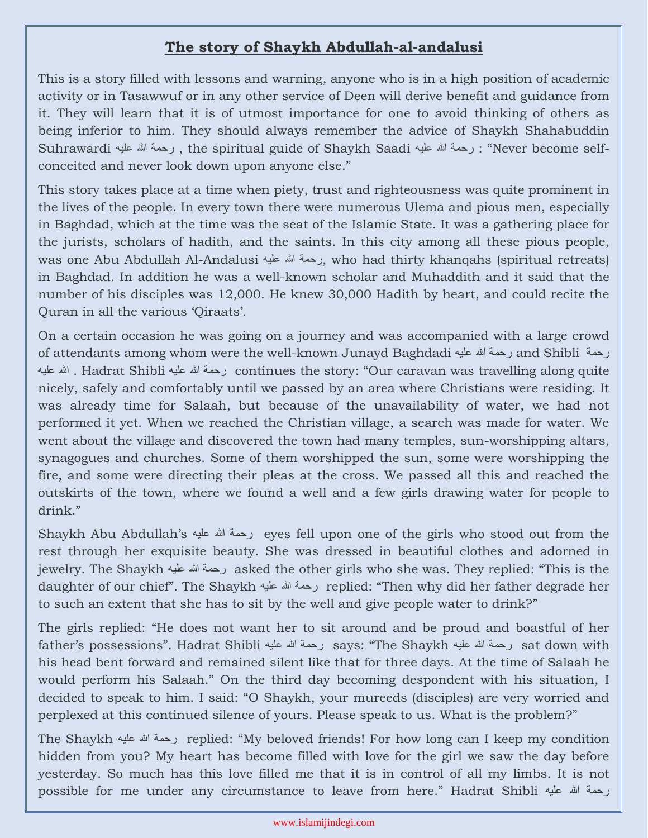## **The story of Shaykh Abdullah-al-andalusi**

This is a story filled with lessons and warning, anyone who is in a high position of academic activity or in Tasawwuf or in any other service of Deen will derive benefit and guidance from it. They will learn that it is of utmost importance for one to avoid thinking of others as being inferior to him. They should always remember the advice of Shaykh Shahabuddin Suhrawardi علیه ہللا رحمة , the spiritual guide of Shaykh Saadi علیه ہللا رحمة :" Never become selfconceited and never look down upon anyone else."

This story takes place at a time when piety, trust and righteousness was quite prominent in the lives of the people. In every town there were numerous Ulema and pious men, especially in Baghdad, which at the time was the seat of the Islamic State. It was a gathering place for the jurists, scholars of hadith, and the saints. In this city among all these pious people, was one Abu Abdullah Al-Andalusi علیه ہللا رحمة, who had thirty khanqahs (spiritual retreats) in Baghdad. In addition he was a well-known scholar and Muhaddith and it said that the number of his disciples was 12,000. He knew 30,000 Hadith by heart, and could recite the Quran in all the various 'Qiraats'.

On a certain occasion he was going on a journey and was accompanied with a large crowd of attendants among whom were the well-known Junayd Baghdadi علیه ہللا رحمة and Shibli رحمة علیه ہللا . Hadrat Shibli علیه ہللا رحمة continues the story: "Our caravan was travelling along quite nicely, safely and comfortably until we passed by an area where Christians were residing. It was already time for Salaah, but because of the unavailability of water, we had not performed it yet. When we reached the Christian village, a search was made for water. We went about the village and discovered the town had many temples, sun-worshipping altars, synagogues and churches. Some of them worshipped the sun, some were worshipping the fire, and some were directing their pleas at the cross. We passed all this and reached the outskirts of the town, where we found a well and a few girls drawing water for people to drink."

Shaykh Abu Abdullah's علیه ہللا رحمة eyes fell upon one of the girls who stood out from the rest through her exquisite beauty. She was dressed in beautiful clothes and adorned in jewelry. The Shaykh علیه ہللا رحمة asked the other girls who she was. They replied: "This is the daughter of our chief". The Shaykh علیه ہللا رحمة replied: "Then why did her father degrade her to such an extent that she has to sit by the well and give people water to drink?"

The girls replied: "He does not want her to sit around and be proud and boastful of her father's possessions". Hadrat Shibli علیه ہللا رحمة says: "The Shaykh علیه ہللا رحمة sat down with his head bent forward and remained silent like that for three days. At the time of Salaah he would perform his Salaah." On the third day becoming despondent with his situation, I decided to speak to him. I said: "O Shaykh, your mureeds (disciples) are very worried and perplexed at this continued silence of yours. Please speak to us. What is the problem?"

The Shaykh علیه ہللا رحمة replied: "My beloved friends! For how long can I keep my condition hidden from you? My heart has become filled with love for the girl we saw the day before yesterday. So much has this love filled me that it is in control of all my limbs. It is not possible for me under any circumstance to leave from here." Hadrat Shibli علیه ہللا رحمة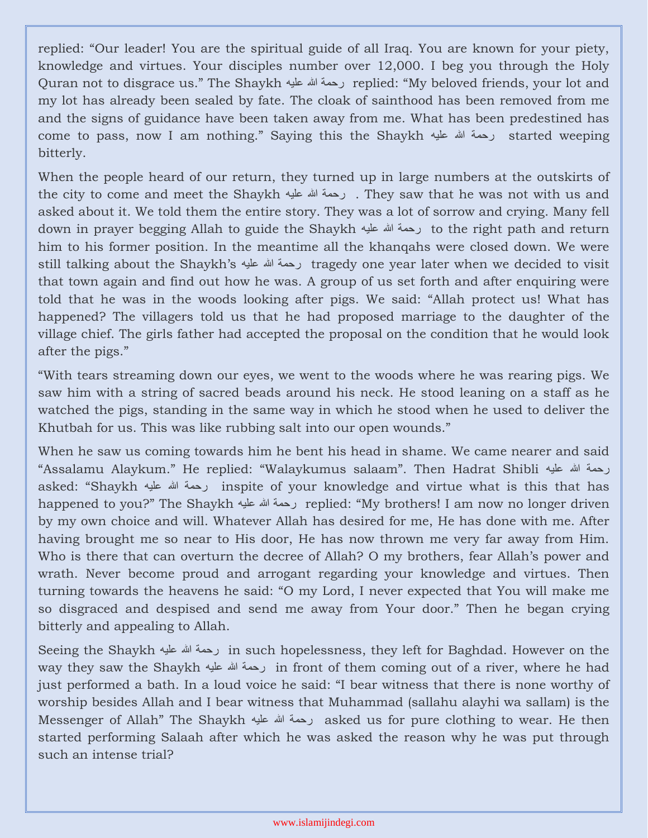replied: "Our leader! You are the spiritual guide of all Iraq. You are known for your piety, knowledge and virtues. Your disciples number over 12,000. I beg you through the Holy Quran not to disgrace us." The Shaykh علیه ہللا رحمة replied: "My beloved friends, your lot and my lot has already been sealed by fate. The cloak of sainthood has been removed from me and the signs of guidance have been taken away from me. What has been predestined has come to pass, now I am nothing." Saying this the Shaykh علیه ہللا رحمة started weeping bitterly.

When the people heard of our return, they turned up in large numbers at the outskirts of the city to come and meet the Shaykh علیه ہللا رحمة . They saw that he was not with us and asked about it. We told them the entire story. They was a lot of sorrow and crying. Many fell down in prayer begging Allah to guide the Shaykh رحمة الله علیه to the right path and return him to his former position. In the meantime all the khanqahs were closed down. We were still talking about the Shaykh's علیه ہللا رحمة tragedy one year later when we decided to visit that town again and find out how he was. A group of us set forth and after enquiring were told that he was in the woods looking after pigs. We said: "Allah protect us! What has happened? The villagers told us that he had proposed marriage to the daughter of the village chief. The girls father had accepted the proposal on the condition that he would look after the pigs."

"With tears streaming down our eyes, we went to the woods where he was rearing pigs. We saw him with a string of sacred beads around his neck. He stood leaning on a staff as he watched the pigs, standing in the same way in which he stood when he used to deliver the Khutbah for us. This was like rubbing salt into our open wounds."

When he saw us coming towards him he bent his head in shame. We came nearer and said "Assalamu Alaykum." He replied: "Walaykumus salaam". Then Hadrat Shibli علیه ہللا رحمة asked: "Shaykh علیه ہللا رحمة inspite of your knowledge and virtue what is this that has happened to you?" The Shaykh علیه ہللا رحمة replied: "My brothers! I am now no longer driven by my own choice and will. Whatever Allah has desired for me, He has done with me. After having brought me so near to His door, He has now thrown me very far away from Him. Who is there that can overturn the decree of Allah? O my brothers, fear Allah's power and wrath. Never become proud and arrogant regarding your knowledge and virtues. Then turning towards the heavens he said: "O my Lord, I never expected that You will make me so disgraced and despised and send me away from Your door." Then he began crying bitterly and appealing to Allah.

Seeing the Shaykh علیه ہللا رحمة in such hopelessness, they left for Baghdad. However on the way they saw the Shaykh علیه ہللا رحمة in front of them coming out of a river, where he had just performed a bath. In a loud voice he said: "I bear witness that there is none worthy of worship besides Allah and I bear witness that Muhammad (sallahu alayhi wa sallam) is the Messenger of Allah" The Shaykh علیه ہللا رحمة asked us for pure clothing to wear. He then started performing Salaah after which he was asked the reason why he was put through such an intense trial?